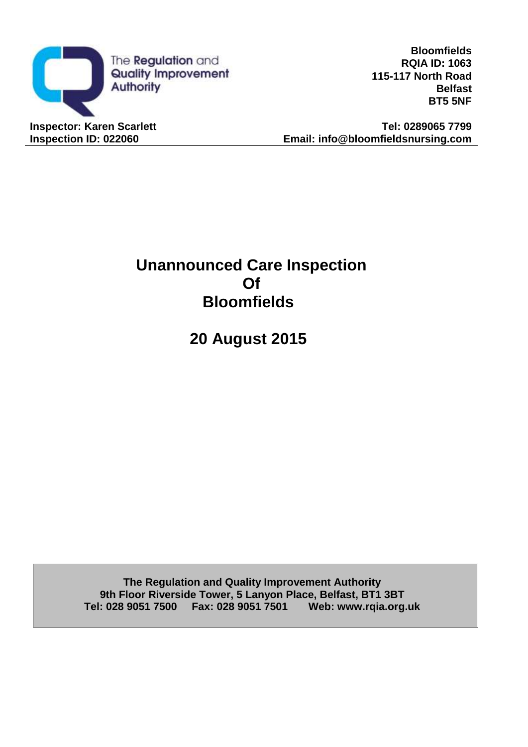

**Bloomfields RQIA ID: 1063 115-117 North Road Belfast BT5 5NF**

**Inspector: Karen Scarlett Tel: 0289065 7799 Inspection ID: 022060 Email: info@bloomfieldsnursing.com**

# **Unannounced Care Inspection Of Bloomfields**

**20 August 2015**

**The Regulation and Quality Improvement Authority 9th Floor Riverside Tower, 5 Lanyon Place, Belfast, BT1 3BT Tel: 028 9051 7500 Fax: 028 9051 7501 Web: [www.rqia.org.uk](http://www.rqia.org.uk/)**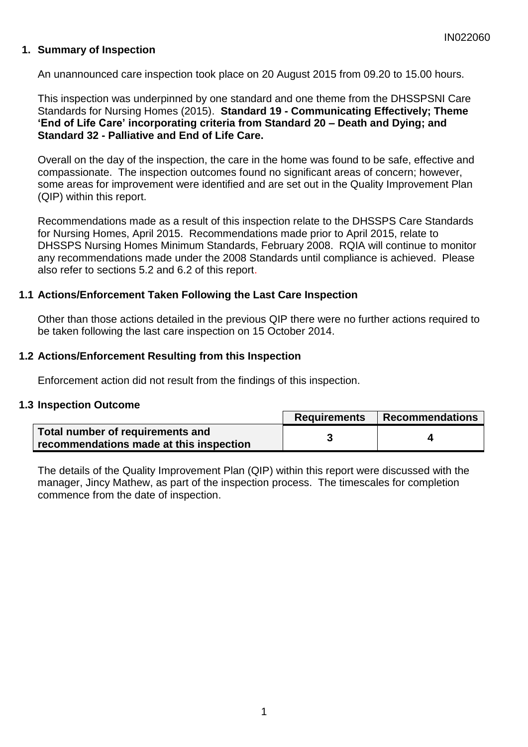### **1. Summary of Inspection**

An unannounced care inspection took place on 20 August 2015 from 09.20 to 15.00 hours.

This inspection was underpinned by one standard and one theme from the DHSSPSNI Care Standards for Nursing Homes (2015). **Standard 19 - Communicating Effectively; Theme 'End of Life Care' incorporating criteria from Standard 20 – Death and Dying; and Standard 32 - Palliative and End of Life Care.**

Overall on the day of the inspection, the care in the home was found to be safe, effective and compassionate. The inspection outcomes found no significant areas of concern; however, some areas for improvement were identified and are set out in the Quality Improvement Plan (QIP) within this report.

Recommendations made as a result of this inspection relate to the DHSSPS Care Standards for Nursing Homes, April 2015. Recommendations made prior to April 2015, relate to DHSSPS Nursing Homes Minimum Standards, February 2008. RQIA will continue to monitor any recommendations made under the 2008 Standards until compliance is achieved. Please also refer to sections 5.2 and 6.2 of this report.

#### **1.1 Actions/Enforcement Taken Following the Last Care Inspection**

Other than those actions detailed in the previous QIP there were no further actions required to be taken following the last care inspection on 15 October 2014.

#### **1.2 Actions/Enforcement Resulting from this Inspection**

Enforcement action did not result from the findings of this inspection.

#### **1.3 Inspection Outcome**

|                                                                             | Requirements | Recommendations |
|-----------------------------------------------------------------------------|--------------|-----------------|
| Total number of requirements and<br>recommendations made at this inspection |              |                 |

The details of the Quality Improvement Plan (QIP) within this report were discussed with the manager, Jincy Mathew, as part of the inspection process. The timescales for completion commence from the date of inspection.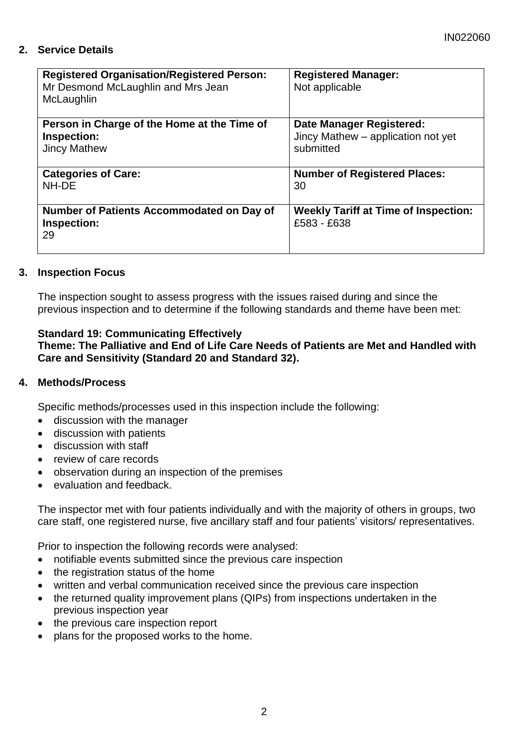# **2. Service Details**

| <b>Registered Organisation/Registered Person:</b><br>Mr Desmond McLaughlin and Mrs Jean<br>McLaughlin | <b>Registered Manager:</b><br>Not applicable               |
|-------------------------------------------------------------------------------------------------------|------------------------------------------------------------|
| Person in Charge of the Home at the Time of                                                           | Date Manager Registered:                                   |
| Inspection:                                                                                           | Jincy Mathew – application not yet                         |
| <b>Jincy Mathew</b>                                                                                   | submitted                                                  |
| <b>Categories of Care:</b>                                                                            | <b>Number of Registered Places:</b>                        |
| NH-DE                                                                                                 | 30                                                         |
| <b>Number of Patients Accommodated on Day of</b><br>Inspection:<br>29                                 | <b>Weekly Tariff at Time of Inspection:</b><br>£583 - £638 |

#### **3. Inspection Focus**

The inspection sought to assess progress with the issues raised during and since the previous inspection and to determine if the following standards and theme have been met:

#### **Standard 19: Communicating Effectively**

**Theme: The Palliative and End of Life Care Needs of Patients are Met and Handled with Care and Sensitivity (Standard 20 and Standard 32).**

#### **4. Methods/Process**

Specific methods/processes used in this inspection include the following:

- discussion with the manager
- discussion with patients
- discussion with staff
- review of care records
- observation during an inspection of the premises
- evaluation and feedback.

The inspector met with four patients individually and with the majority of others in groups, two care staff, one registered nurse, five ancillary staff and four patients' visitors/ representatives.

Prior to inspection the following records were analysed:

- notifiable events submitted since the previous care inspection
- the registration status of the home
- written and verbal communication received since the previous care inspection
- the returned quality improvement plans (QIPs) from inspections undertaken in the previous inspection year
- the previous care inspection report
- plans for the proposed works to the home.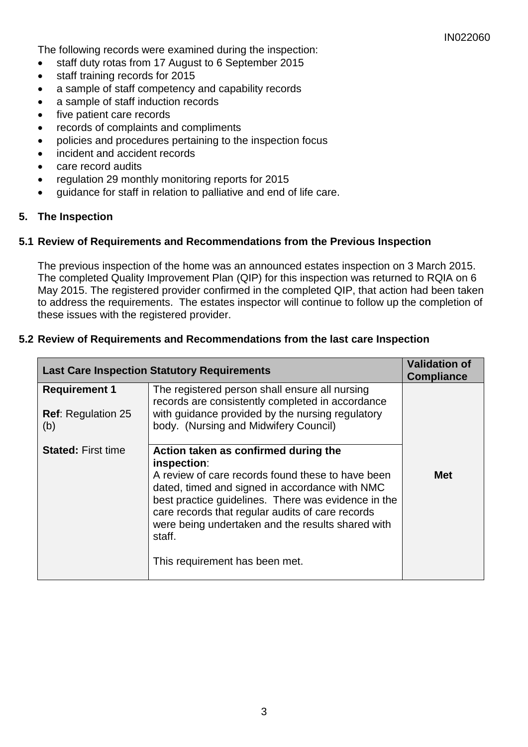The following records were examined during the inspection:

- staff duty rotas from 17 August to 6 September 2015
- staff training records for 2015
- a sample of staff competency and capability records
- a sample of staff induction records
- five patient care records
- records of complaints and compliments
- policies and procedures pertaining to the inspection focus
- incident and accident records
- care record audits
- regulation 29 monthly monitoring reports for 2015
- guidance for staff in relation to palliative and end of life care.

#### **5. The Inspection**

#### **5.1 Review of Requirements and Recommendations from the Previous Inspection**

The previous inspection of the home was an announced estates inspection on 3 March 2015. The completed Quality Improvement Plan (QIP) for this inspection was returned to RQIA on 6 May 2015. The registered provider confirmed in the completed QIP, that action had been taken to address the requirements. The estates inspector will continue to follow up the completion of these issues with the registered provider.

#### **5.2 Review of Requirements and Recommendations from the last care Inspection**

| <b>Last Care Inspection Statutory Requirements</b> | <b>Validation of</b><br><b>Compliance</b>                                                                                                                                                                                                                                                                                                                              |            |
|----------------------------------------------------|------------------------------------------------------------------------------------------------------------------------------------------------------------------------------------------------------------------------------------------------------------------------------------------------------------------------------------------------------------------------|------------|
| <b>Requirement 1</b>                               | The registered person shall ensure all nursing<br>records are consistently completed in accordance                                                                                                                                                                                                                                                                     |            |
| <b>Ref: Regulation 25</b><br>(b)                   | with guidance provided by the nursing regulatory<br>body. (Nursing and Midwifery Council)                                                                                                                                                                                                                                                                              |            |
| <b>Stated: First time</b>                          | Action taken as confirmed during the<br>inspection:<br>A review of care records found these to have been<br>dated, timed and signed in accordance with NMC<br>best practice guidelines. There was evidence in the<br>care records that regular audits of care records<br>were being undertaken and the results shared with<br>staff.<br>This requirement has been met. | <b>Met</b> |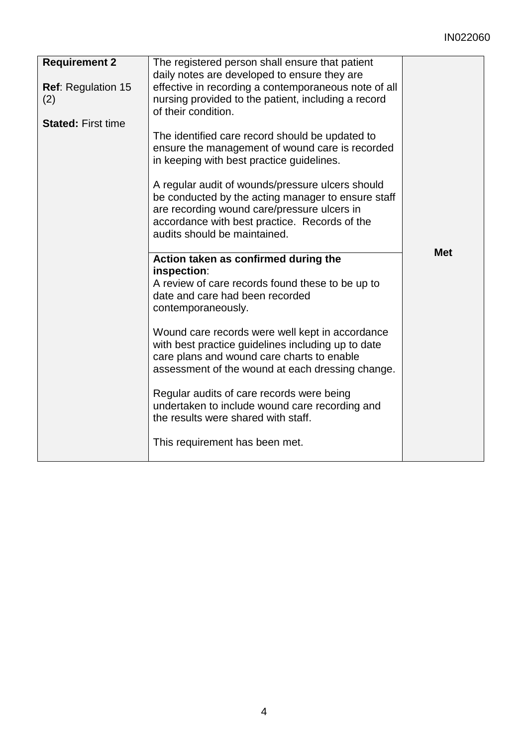# IN022060

| <b>Requirement 2</b>      | The registered person shall ensure that patient      |            |
|---------------------------|------------------------------------------------------|------------|
|                           | daily notes are developed to ensure they are         |            |
| <b>Ref: Regulation 15</b> | effective in recording a contemporaneous note of all |            |
| (2)                       | nursing provided to the patient, including a record  |            |
|                           | of their condition.                                  |            |
| <b>Stated: First time</b> |                                                      |            |
|                           | The identified care record should be updated to      |            |
|                           | ensure the management of wound care is recorded      |            |
|                           | in keeping with best practice guidelines.            |            |
|                           |                                                      |            |
|                           | A regular audit of wounds/pressure ulcers should     |            |
|                           | be conducted by the acting manager to ensure staff   |            |
|                           |                                                      |            |
|                           | are recording wound care/pressure ulcers in          |            |
|                           | accordance with best practice. Records of the        |            |
|                           | audits should be maintained.                         |            |
|                           |                                                      | <b>Met</b> |
|                           | Action taken as confirmed during the                 |            |
|                           | inspection:                                          |            |
|                           | A review of care records found these to be up to     |            |
|                           | date and care had been recorded                      |            |
|                           | contemporaneously.                                   |            |
|                           |                                                      |            |
|                           | Wound care records were well kept in accordance      |            |
|                           | with best practice guidelines including up to date   |            |
|                           | care plans and wound care charts to enable           |            |
|                           | assessment of the wound at each dressing change.     |            |
|                           | Regular audits of care records were being            |            |
|                           | undertaken to include wound care recording and       |            |
|                           | the results were shared with staff.                  |            |
|                           |                                                      |            |
|                           | This requirement has been met.                       |            |
|                           |                                                      |            |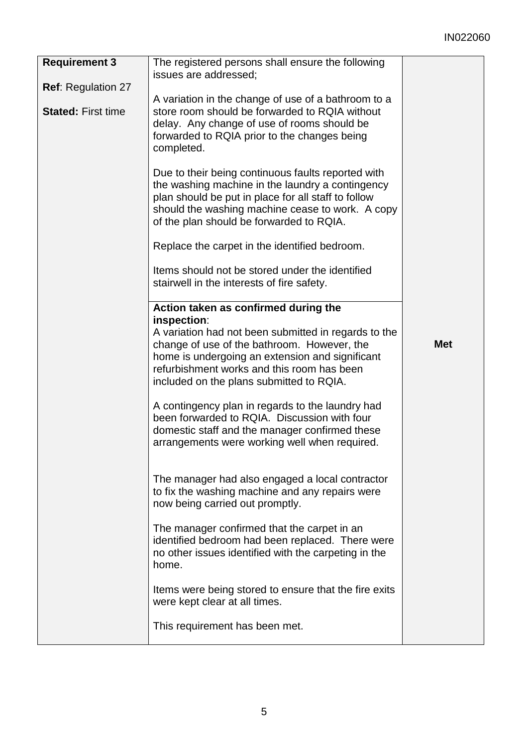# IN022060

| <b>Requirement 3</b>      | The registered persons shall ensure the following                                                                                                                                                                                                               |            |
|---------------------------|-----------------------------------------------------------------------------------------------------------------------------------------------------------------------------------------------------------------------------------------------------------------|------------|
| <b>Ref: Regulation 27</b> | issues are addressed;                                                                                                                                                                                                                                           |            |
| <b>Stated: First time</b> | A variation in the change of use of a bathroom to a<br>store room should be forwarded to RQIA without<br>delay. Any change of use of rooms should be<br>forwarded to RQIA prior to the changes being<br>completed.                                              |            |
|                           | Due to their being continuous faults reported with<br>the washing machine in the laundry a contingency<br>plan should be put in place for all staff to follow<br>should the washing machine cease to work. A copy<br>of the plan should be forwarded to RQIA.   |            |
|                           | Replace the carpet in the identified bedroom.                                                                                                                                                                                                                   |            |
|                           | Items should not be stored under the identified<br>stairwell in the interests of fire safety.                                                                                                                                                                   |            |
|                           | Action taken as confirmed during the                                                                                                                                                                                                                            |            |
|                           | inspection:<br>A variation had not been submitted in regards to the<br>change of use of the bathroom. However, the<br>home is undergoing an extension and significant<br>refurbishment works and this room has been<br>included on the plans submitted to RQIA. | <b>Met</b> |
|                           | A contingency plan in regards to the laundry had<br>been forwarded to RQIA. Discussion with four<br>domestic staff and the manager confirmed these<br>arrangements were working well when required.                                                             |            |
|                           | The manager had also engaged a local contractor<br>to fix the washing machine and any repairs were<br>now being carried out promptly.                                                                                                                           |            |
|                           | The manager confirmed that the carpet in an<br>identified bedroom had been replaced. There were<br>no other issues identified with the carpeting in the<br>home.                                                                                                |            |
|                           | Items were being stored to ensure that the fire exits<br>were kept clear at all times.                                                                                                                                                                          |            |
|                           | This requirement has been met.                                                                                                                                                                                                                                  |            |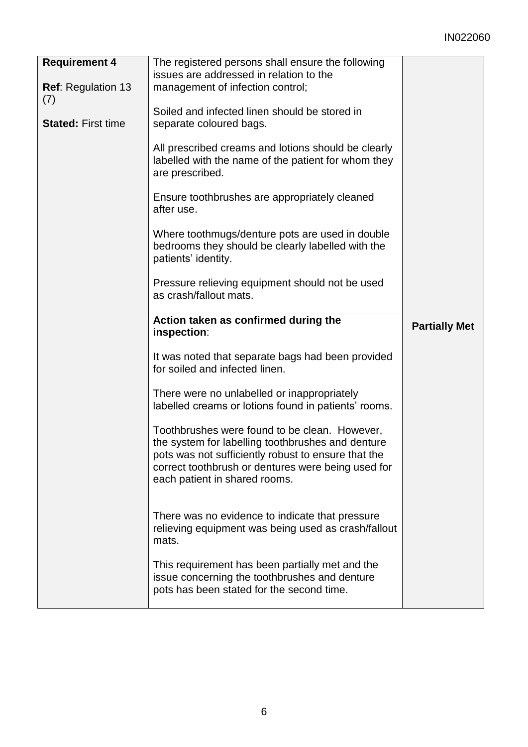# IN022060

| <b>Requirement 4</b>      | The registered persons shall ensure the following                                                                                                                                                                                                |                      |
|---------------------------|--------------------------------------------------------------------------------------------------------------------------------------------------------------------------------------------------------------------------------------------------|----------------------|
|                           | issues are addressed in relation to the                                                                                                                                                                                                          |                      |
| Ref: Regulation 13        | management of infection control;                                                                                                                                                                                                                 |                      |
| (7)                       |                                                                                                                                                                                                                                                  |                      |
|                           |                                                                                                                                                                                                                                                  |                      |
|                           | Soiled and infected linen should be stored in                                                                                                                                                                                                    |                      |
| <b>Stated: First time</b> | separate coloured bags.                                                                                                                                                                                                                          |                      |
|                           |                                                                                                                                                                                                                                                  |                      |
|                           | All prescribed creams and lotions should be clearly<br>labelled with the name of the patient for whom they<br>are prescribed.                                                                                                                    |                      |
|                           | Ensure toothbrushes are appropriately cleaned<br>after use.                                                                                                                                                                                      |                      |
|                           | Where toothmugs/denture pots are used in double<br>bedrooms they should be clearly labelled with the<br>patients' identity.                                                                                                                      |                      |
|                           | Pressure relieving equipment should not be used<br>as crash/fallout mats.                                                                                                                                                                        |                      |
|                           |                                                                                                                                                                                                                                                  |                      |
|                           | Action taken as confirmed during the<br>inspection:                                                                                                                                                                                              | <b>Partially Met</b> |
|                           | It was noted that separate bags had been provided<br>for soiled and infected linen.                                                                                                                                                              |                      |
|                           | There were no unlabelled or inappropriately<br>labelled creams or lotions found in patients' rooms.                                                                                                                                              |                      |
|                           | Toothbrushes were found to be clean. However,<br>the system for labelling toothbrushes and denture<br>pots was not sufficiently robust to ensure that the<br>correct toothbrush or dentures were being used for<br>each patient in shared rooms. |                      |
|                           | There was no evidence to indicate that pressure<br>relieving equipment was being used as crash/fallout<br>mats.                                                                                                                                  |                      |
|                           | This requirement has been partially met and the<br>issue concerning the toothbrushes and denture<br>pots has been stated for the second time.                                                                                                    |                      |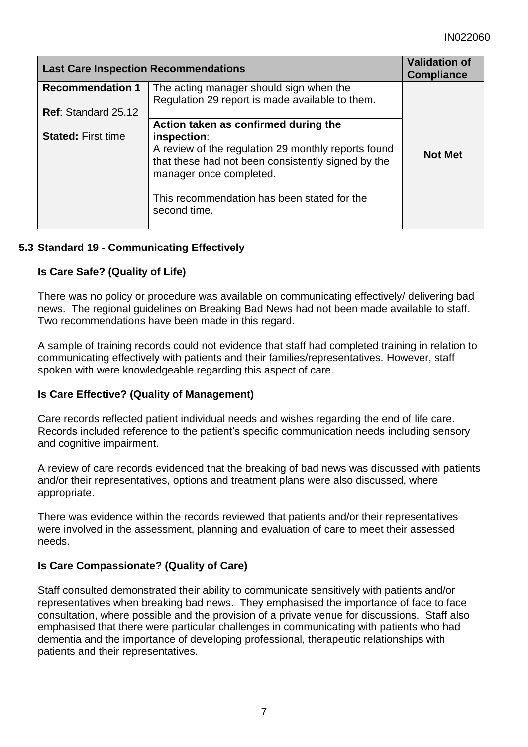| <b>Last Care Inspection Recommendations</b> |                                                                                                                                                     | <b>Validation of</b><br><b>Compliance</b> |
|---------------------------------------------|-----------------------------------------------------------------------------------------------------------------------------------------------------|-------------------------------------------|
| <b>Recommendation 1</b>                     | The acting manager should sign when the<br>Regulation 29 report is made available to them.                                                          |                                           |
| <b>Ref: Standard 25.12</b>                  |                                                                                                                                                     |                                           |
|                                             | Action taken as confirmed during the                                                                                                                |                                           |
| <b>Stated: First time</b>                   | inspection:<br>A review of the regulation 29 monthly reports found<br>that these had not been consistently signed by the<br>manager once completed. | <b>Not Met</b>                            |
|                                             | This recommendation has been stated for the<br>second time.                                                                                         |                                           |

# **5.3 Standard 19 - Communicating Effectively**

#### **Is Care Safe? (Quality of Life)**

There was no policy or procedure was available on communicating effectively/ delivering bad news. The regional guidelines on Breaking Bad News had not been made available to staff. Two recommendations have been made in this regard.

A sample of training records could not evidence that staff had completed training in relation to communicating effectively with patients and their families/representatives. However, staff spoken with were knowledgeable regarding this aspect of care.

#### **Is Care Effective? (Quality of Management)**

Care records reflected patient individual needs and wishes regarding the end of life care. Records included reference to the patient's specific communication needs including sensory and cognitive impairment.

A review of care records evidenced that the breaking of bad news was discussed with patients and/or their representatives, options and treatment plans were also discussed, where appropriate.

There was evidence within the records reviewed that patients and/or their representatives were involved in the assessment, planning and evaluation of care to meet their assessed needs.

#### **Is Care Compassionate? (Quality of Care)**

Staff consulted demonstrated their ability to communicate sensitively with patients and/or representatives when breaking bad news. They emphasised the importance of face to face consultation, where possible and the provision of a private venue for discussions. Staff also emphasised that there were particular challenges in communicating with patients who had dementia and the importance of developing professional, therapeutic relationships with patients and their representatives.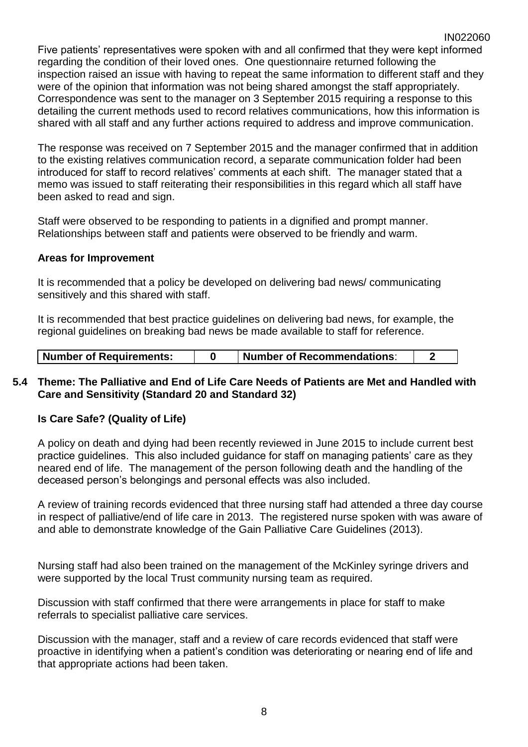Five patients' representatives were spoken with and all confirmed that they were kept informed regarding the condition of their loved ones. One questionnaire returned following the inspection raised an issue with having to repeat the same information to different staff and they were of the opinion that information was not being shared amongst the staff appropriately. Correspondence was sent to the manager on 3 September 2015 requiring a response to this detailing the current methods used to record relatives communications, how this information is shared with all staff and any further actions required to address and improve communication.

The response was received on 7 September 2015 and the manager confirmed that in addition to the existing relatives communication record, a separate communication folder had been introduced for staff to record relatives' comments at each shift. The manager stated that a memo was issued to staff reiterating their responsibilities in this regard which all staff have been asked to read and sign.

Staff were observed to be responding to patients in a dignified and prompt manner. Relationships between staff and patients were observed to be friendly and warm.

#### **Areas for Improvement**

It is recommended that a policy be developed on delivering bad news/ communicating sensitively and this shared with staff.

It is recommended that best practice guidelines on delivering bad news, for example, the regional guidelines on breaking bad news be made available to staff for reference.

| <b>Number of Requirements:</b> |  | Number of Recommendations: |  |  |
|--------------------------------|--|----------------------------|--|--|
|--------------------------------|--|----------------------------|--|--|

#### **5.4 Theme: The Palliative and End of Life Care Needs of Patients are Met and Handled with Care and Sensitivity (Standard 20 and Standard 32)**

#### **Is Care Safe? (Quality of Life)**

A policy on death and dying had been recently reviewed in June 2015 to include current best practice guidelines. This also included guidance for staff on managing patients' care as they neared end of life. The management of the person following death and the handling of the deceased person's belongings and personal effects was also included.

A review of training records evidenced that three nursing staff had attended a three day course in respect of palliative/end of life care in 2013. The registered nurse spoken with was aware of and able to demonstrate knowledge of the Gain Palliative Care Guidelines (2013).

Nursing staff had also been trained on the management of the McKinley syringe drivers and were supported by the local Trust community nursing team as required.

Discussion with staff confirmed that there were arrangements in place for staff to make referrals to specialist palliative care services.

Discussion with the manager, staff and a review of care records evidenced that staff were proactive in identifying when a patient's condition was deteriorating or nearing end of life and that appropriate actions had been taken.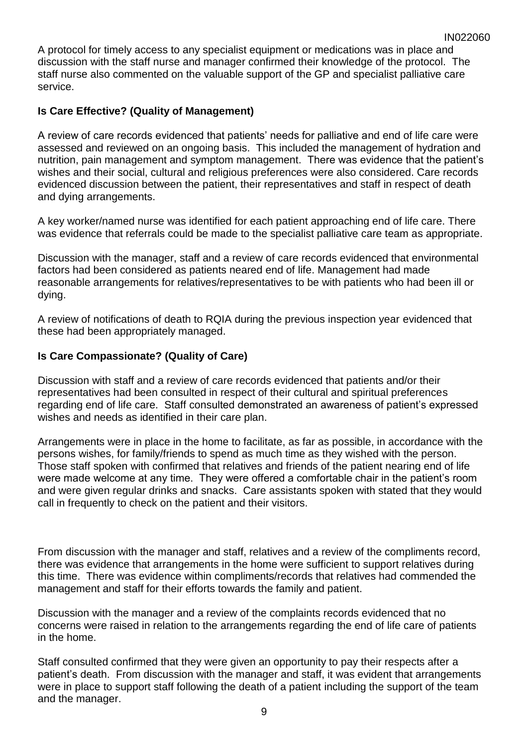A protocol for timely access to any specialist equipment or medications was in place and discussion with the staff nurse and manager confirmed their knowledge of the protocol. The staff nurse also commented on the valuable support of the GP and specialist palliative care service.

# **Is Care Effective? (Quality of Management)**

A review of care records evidenced that patients' needs for palliative and end of life care were assessed and reviewed on an ongoing basis. This included the management of hydration and nutrition, pain management and symptom management. There was evidence that the patient's wishes and their social, cultural and religious preferences were also considered. Care records evidenced discussion between the patient, their representatives and staff in respect of death and dying arrangements.

A key worker/named nurse was identified for each patient approaching end of life care. There was evidence that referrals could be made to the specialist palliative care team as appropriate.

Discussion with the manager, staff and a review of care records evidenced that environmental factors had been considered as patients neared end of life. Management had made reasonable arrangements for relatives/representatives to be with patients who had been ill or dying.

A review of notifications of death to RQIA during the previous inspection year evidenced that these had been appropriately managed.

# **Is Care Compassionate? (Quality of Care)**

Discussion with staff and a review of care records evidenced that patients and/or their representatives had been consulted in respect of their cultural and spiritual preferences regarding end of life care. Staff consulted demonstrated an awareness of patient's expressed wishes and needs as identified in their care plan.

Arrangements were in place in the home to facilitate, as far as possible, in accordance with the persons wishes, for family/friends to spend as much time as they wished with the person. Those staff spoken with confirmed that relatives and friends of the patient nearing end of life were made welcome at any time. They were offered a comfortable chair in the patient's room and were given regular drinks and snacks. Care assistants spoken with stated that they would call in frequently to check on the patient and their visitors.

From discussion with the manager and staff, relatives and a review of the compliments record, there was evidence that arrangements in the home were sufficient to support relatives during this time. There was evidence within compliments/records that relatives had commended the management and staff for their efforts towards the family and patient.

Discussion with the manager and a review of the complaints records evidenced that no concerns were raised in relation to the arrangements regarding the end of life care of patients in the home.

Staff consulted confirmed that they were given an opportunity to pay their respects after a patient's death. From discussion with the manager and staff, it was evident that arrangements were in place to support staff following the death of a patient including the support of the team and the manager.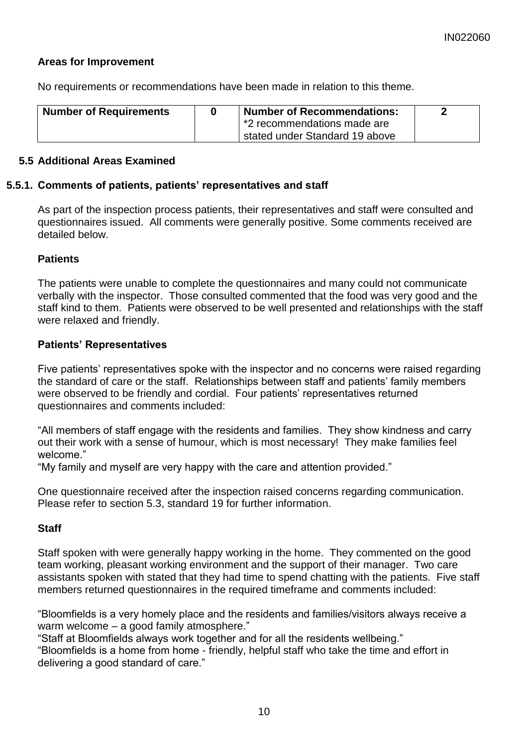### **Areas for Improvement**

No requirements or recommendations have been made in relation to this theme.

| <b>Number of Requirements</b> | <b>Number of Recommendations:</b> |  |
|-------------------------------|-----------------------------------|--|
|                               | *2 recommendations made are       |  |
|                               | stated under Standard 19 above    |  |

#### **5.5 Additional Areas Examined**

#### **5.5.1. Comments of patients, patients' representatives and staff**

As part of the inspection process patients, their representatives and staff were consulted and questionnaires issued. All comments were generally positive. Some comments received are detailed below.

#### **Patients**

The patients were unable to complete the questionnaires and many could not communicate verbally with the inspector. Those consulted commented that the food was very good and the staff kind to them. Patients were observed to be well presented and relationships with the staff were relaxed and friendly.

#### **Patients' Representatives**

Five patients' representatives spoke with the inspector and no concerns were raised regarding the standard of care or the staff. Relationships between staff and patients' family members were observed to be friendly and cordial. Four patients' representatives returned questionnaires and comments included:

"All members of staff engage with the residents and families. They show kindness and carry out their work with a sense of humour, which is most necessary! They make families feel welcome."

"My family and myself are very happy with the care and attention provided."

One questionnaire received after the inspection raised concerns regarding communication. Please refer to section 5.3, standard 19 for further information.

#### **Staff**

Staff spoken with were generally happy working in the home. They commented on the good team working, pleasant working environment and the support of their manager. Two care assistants spoken with stated that they had time to spend chatting with the patients. Five staff members returned questionnaires in the required timeframe and comments included:

"Bloomfields is a very homely place and the residents and families/visitors always receive a warm welcome – a good family atmosphere."

"Staff at Bloomfields always work together and for all the residents wellbeing."

"Bloomfields is a home from home - friendly, helpful staff who take the time and effort in delivering a good standard of care."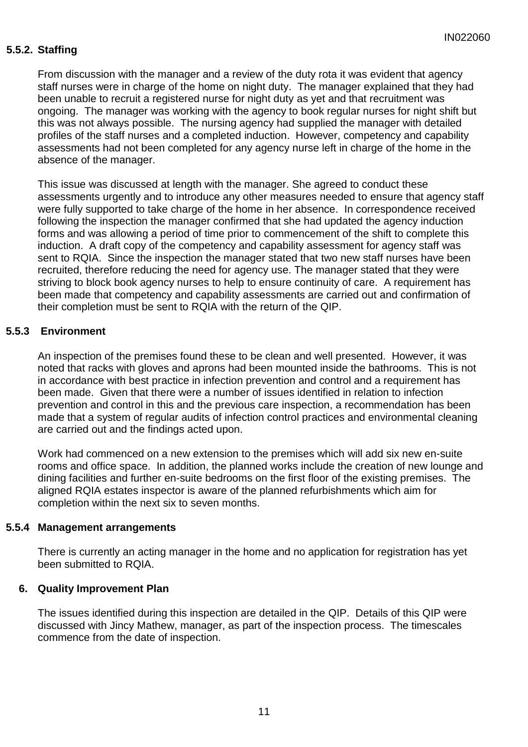### **5.5.2. Staffing**

From discussion with the manager and a review of the duty rota it was evident that agency staff nurses were in charge of the home on night duty. The manager explained that they had been unable to recruit a registered nurse for night duty as yet and that recruitment was ongoing. The manager was working with the agency to book regular nurses for night shift but this was not always possible. The nursing agency had supplied the manager with detailed profiles of the staff nurses and a completed induction. However, competency and capability assessments had not been completed for any agency nurse left in charge of the home in the absence of the manager.

This issue was discussed at length with the manager. She agreed to conduct these assessments urgently and to introduce any other measures needed to ensure that agency staff were fully supported to take charge of the home in her absence. In correspondence received following the inspection the manager confirmed that she had updated the agency induction forms and was allowing a period of time prior to commencement of the shift to complete this induction. A draft copy of the competency and capability assessment for agency staff was sent to RQIA. Since the inspection the manager stated that two new staff nurses have been recruited, therefore reducing the need for agency use. The manager stated that they were striving to block book agency nurses to help to ensure continuity of care. A requirement has been made that competency and capability assessments are carried out and confirmation of their completion must be sent to RQIA with the return of the QIP.

#### **5.5.3 Environment**

An inspection of the premises found these to be clean and well presented. However, it was noted that racks with gloves and aprons had been mounted inside the bathrooms. This is not in accordance with best practice in infection prevention and control and a requirement has been made. Given that there were a number of issues identified in relation to infection prevention and control in this and the previous care inspection, a recommendation has been made that a system of regular audits of infection control practices and environmental cleaning are carried out and the findings acted upon.

Work had commenced on a new extension to the premises which will add six new en-suite rooms and office space. In addition, the planned works include the creation of new lounge and dining facilities and further en-suite bedrooms on the first floor of the existing premises. The aligned RQIA estates inspector is aware of the planned refurbishments which aim for completion within the next six to seven months.

#### **5.5.4 Management arrangements**

There is currently an acting manager in the home and no application for registration has yet been submitted to RQIA.

#### **6. Quality Improvement Plan**

The issues identified during this inspection are detailed in the QIP. Details of this QIP were discussed with Jincy Mathew, manager, as part of the inspection process. The timescales commence from the date of inspection.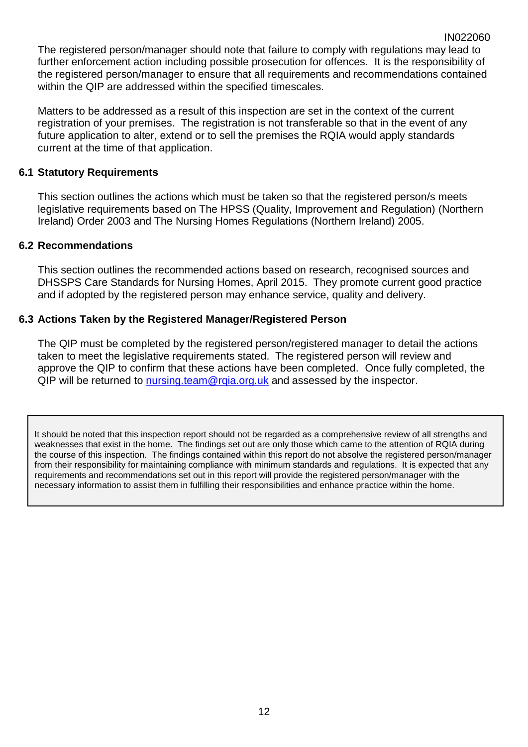The registered person/manager should note that failure to comply with regulations may lead to further enforcement action including possible prosecution for offences. It is the responsibility of the registered person/manager to ensure that all requirements and recommendations contained within the QIP are addressed within the specified timescales.

IN022060

Matters to be addressed as a result of this inspection are set in the context of the current registration of your premises. The registration is not transferable so that in the event of any future application to alter, extend or to sell the premises the RQIA would apply standards current at the time of that application.

### **6.1 Statutory Requirements**

This section outlines the actions which must be taken so that the registered person/s meets legislative requirements based on The HPSS (Quality, Improvement and Regulation) (Northern Ireland) Order 2003 and The Nursing Homes Regulations (Northern Ireland) 2005.

#### **6.2 Recommendations**

This section outlines the recommended actions based on research, recognised sources and DHSSPS Care Standards for Nursing Homes, April 2015. They promote current good practice and if adopted by the registered person may enhance service, quality and delivery.

# **6.3 Actions Taken by the Registered Manager/Registered Person**

The QIP must be completed by the registered person/registered manager to detail the actions taken to meet the legislative requirements stated. The registered person will review and approve the QIP to confirm that these actions have been completed. Once fully completed, the QIP will be returned to nursing team@rqia.org.uk and assessed by the inspector.

It should be noted that this inspection report should not be regarded as a comprehensive review of all strengths and weaknesses that exist in the home. The findings set out are only those which came to the attention of RQIA during the course of this inspection. The findings contained within this report do not absolve the registered person/manager from their responsibility for maintaining compliance with minimum standards and regulations. It is expected that any requirements and recommendations set out in this report will provide the registered person/manager with the necessary information to assist them in fulfilling their responsibilities and enhance practice within the home.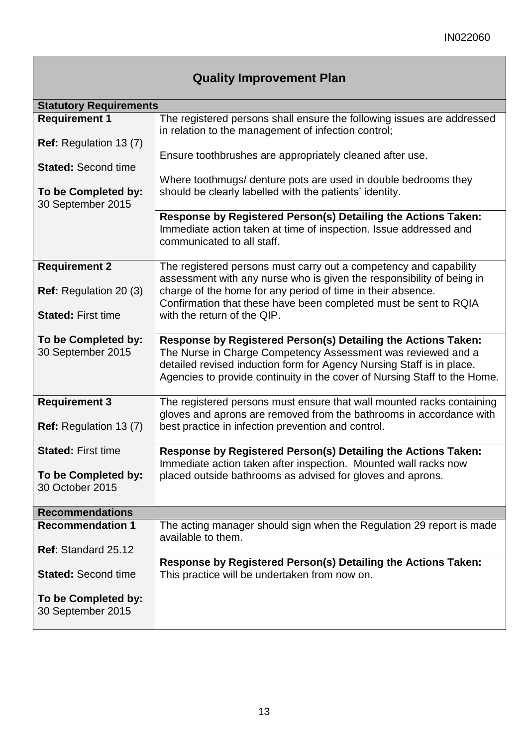| <b>Statutory Requirements</b>                  |                                                                                                                                                                                                                                                                                     |
|------------------------------------------------|-------------------------------------------------------------------------------------------------------------------------------------------------------------------------------------------------------------------------------------------------------------------------------------|
| <b>Requirement 1</b>                           | The registered persons shall ensure the following issues are addressed<br>in relation to the management of infection control;                                                                                                                                                       |
| Ref: Regulation 13 (7)                         | Ensure toothbrushes are appropriately cleaned after use.                                                                                                                                                                                                                            |
| <b>Stated: Second time</b>                     | Where toothmugs/ denture pots are used in double bedrooms they                                                                                                                                                                                                                      |
| To be Completed by:<br>30 September 2015       | should be clearly labelled with the patients' identity.                                                                                                                                                                                                                             |
|                                                | Response by Registered Person(s) Detailing the Actions Taken:<br>Immediate action taken at time of inspection. Issue addressed and<br>communicated to all staff.                                                                                                                    |
| <b>Requirement 2</b>                           | The registered persons must carry out a competency and capability<br>assessment with any nurse who is given the responsibility of being in                                                                                                                                          |
| <b>Ref:</b> Regulation 20 (3)                  | charge of the home for any period of time in their absence.<br>Confirmation that these have been completed must be sent to RQIA                                                                                                                                                     |
| <b>Stated: First time</b>                      | with the return of the QIP.                                                                                                                                                                                                                                                         |
| To be Completed by:<br>30 September 2015       | Response by Registered Person(s) Detailing the Actions Taken:<br>The Nurse in Charge Competency Assessment was reviewed and a<br>detailed revised induction form for Agency Nursing Staff is in place.<br>Agencies to provide continuity in the cover of Nursing Staff to the Home. |
| <b>Requirement 3</b><br>Ref: Regulation 13 (7) | The registered persons must ensure that wall mounted racks containing<br>gloves and aprons are removed from the bathrooms in accordance with<br>best practice in infection prevention and control.                                                                                  |
| <b>Stated: First time</b>                      | Response by Registered Person(s) Detailing the Actions Taken:<br>Immediate action taken after inspection. Mounted wall racks now                                                                                                                                                    |
| To be Completed by:<br>30 October 2015         | placed outside bathrooms as advised for gloves and aprons.                                                                                                                                                                                                                          |
| <b>Recommendations</b>                         |                                                                                                                                                                                                                                                                                     |
| <b>Recommendation 1</b>                        | The acting manager should sign when the Regulation 29 report is made<br>available to them.                                                                                                                                                                                          |
| Ref: Standard 25.12                            | Response by Registered Person(s) Detailing the Actions Taken:                                                                                                                                                                                                                       |
| <b>Stated: Second time</b>                     | This practice will be undertaken from now on.                                                                                                                                                                                                                                       |
| To be Completed by:<br>30 September 2015       |                                                                                                                                                                                                                                                                                     |

# **Quality Improvement Plan**